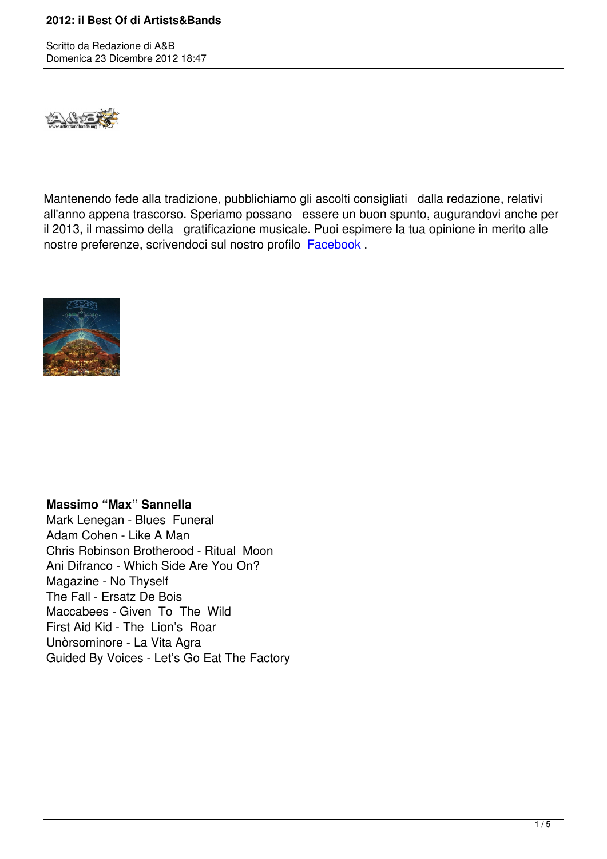

Mantenendo fede alla tradizione, pubblichiamo gli ascolti consigliati dalla redazione, relativi all'anno appena trascorso. Speriamo possano essere un buon spunto, augurandovi anche per il 2013, il massimo della gratificazione musicale. Puoi espimere la tua opinione in merito alle nostre preferenze, scrivendoci sul nostro profilo Facebook .



#### **Massimo "Max" Sannella**

Mark Lenegan - Blues Funeral Adam Cohen - Like A Man Chris Robinson Brotherood - Ritual Moon Ani Difranco - Which Side Are You On? Magazine - No Thyself The Fall - Ersatz De Bois Maccabees - Given To The Wild First Aid Kid - The Lion's Roar Unòrsominore - La Vita Agra Guided By Voices - Let's Go Eat The Factory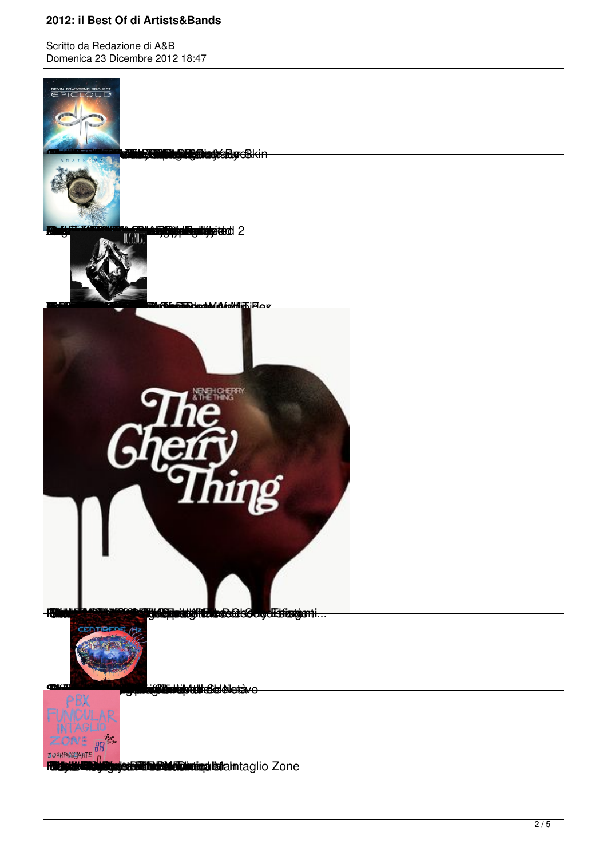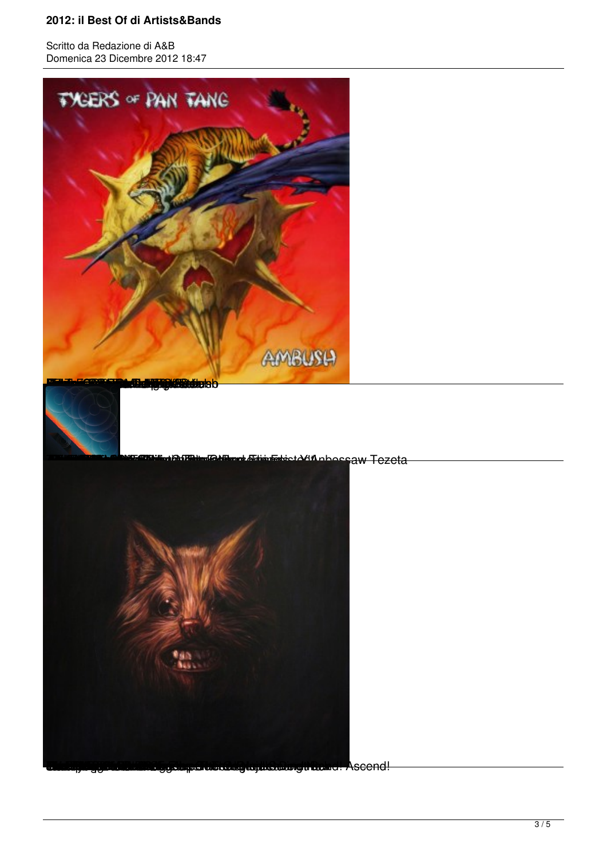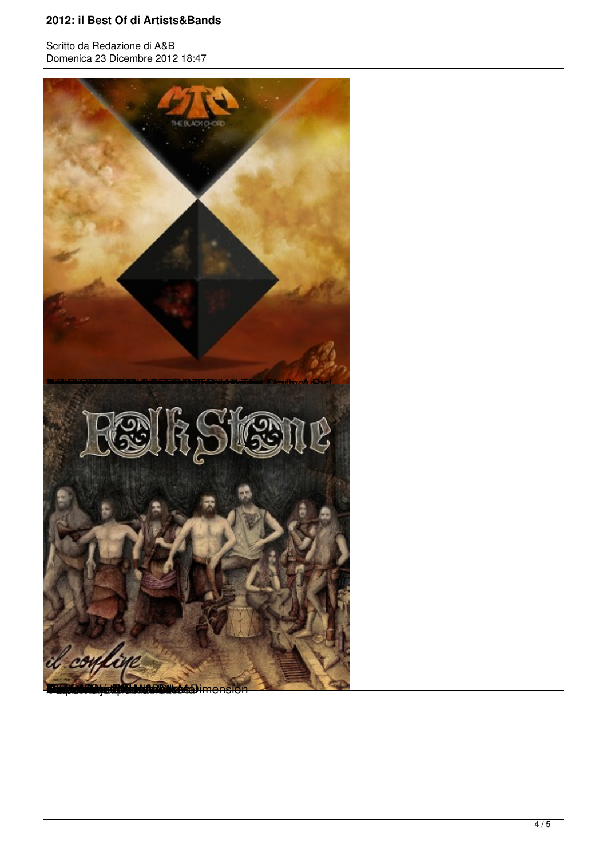